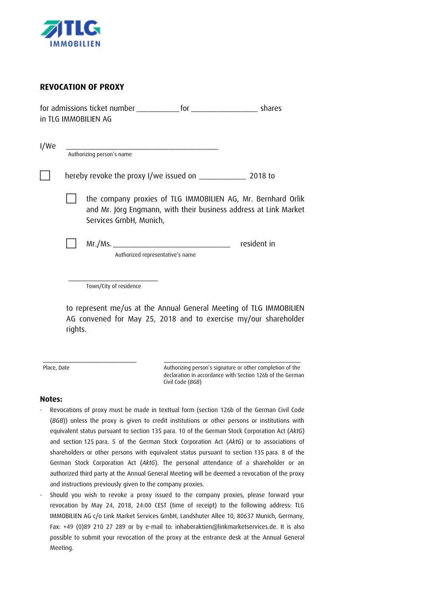

## **REVOCATION OF PROXY**

| for admissions ticket number | tor | shares |
|------------------------------|-----|--------|
| in TLG IMMOBILIEN AG         |     |        |

| the company proxies of TLG IMMOBILIEN AG, Mr. Bernhard Orlik<br>and Mr. Jörg Engmann, with their business address at Link Market<br>Services GmbH, Munich, |  |  |             |
|------------------------------------------------------------------------------------------------------------------------------------------------------------|--|--|-------------|
|                                                                                                                                                            |  |  |             |
| Mr.Ms.<br>Authorized representative's name                                                                                                                 |  |  | resident in |

to represent me/us at the Annual General Meeting of TLG IMMOBILIEN AG convened for May 25, 2018 and to exercise my/our shareholder rights.

Place, Date **Authorizing person's signature or other completion of the** declaration in accordance with Section 126b of the German Civil Code (*BGB*)

## **Notes:**

Revocations of proxy must be made in texttual form (section 126b of the German Civil Code (*BGB*)) unless the proxy is given to credit institutions or other persons or institutions with equivalent status pursuant to section 135 para. 10 of the German Stock Corporation Act (*AktG*) and section 125 para. 5 of the German Stock Corporation Act (*AktG*) or to associations of shareholders or other persons with equivalent status pursuant to section 135 para. 8 of the German Stock Corporation Act (*AktG*). The personal attendance of a shareholder or an authorized third party at the Annual General Meeting will be deemed a revocation of the proxy and instructions previously given to the company proxies.

\_\_\_\_\_\_\_\_\_\_\_\_\_\_\_\_\_\_\_\_\_\_\_\_ \_\_\_\_\_\_\_\_\_\_\_\_\_\_\_\_\_\_\_\_\_\_\_\_\_\_\_\_\_\_\_\_\_\_\_

Should you wish to revoke a proxy issued to the company proxies, please forward your revocation by May 24, 2018, 24:00 CEST (time of receipt) to the following address: TLG IMMOBILIEN AG c/o Link Market Services GmbH, Landshuter Allee 10, 80637 Munich, Germany, Fax: +49 (0)89 210 27 289 or by e-mail to: inhaberaktien@linkmarketservices.de. It is also possible to submit your revocation of the proxy at the entrance desk at the Annual General Meeting.